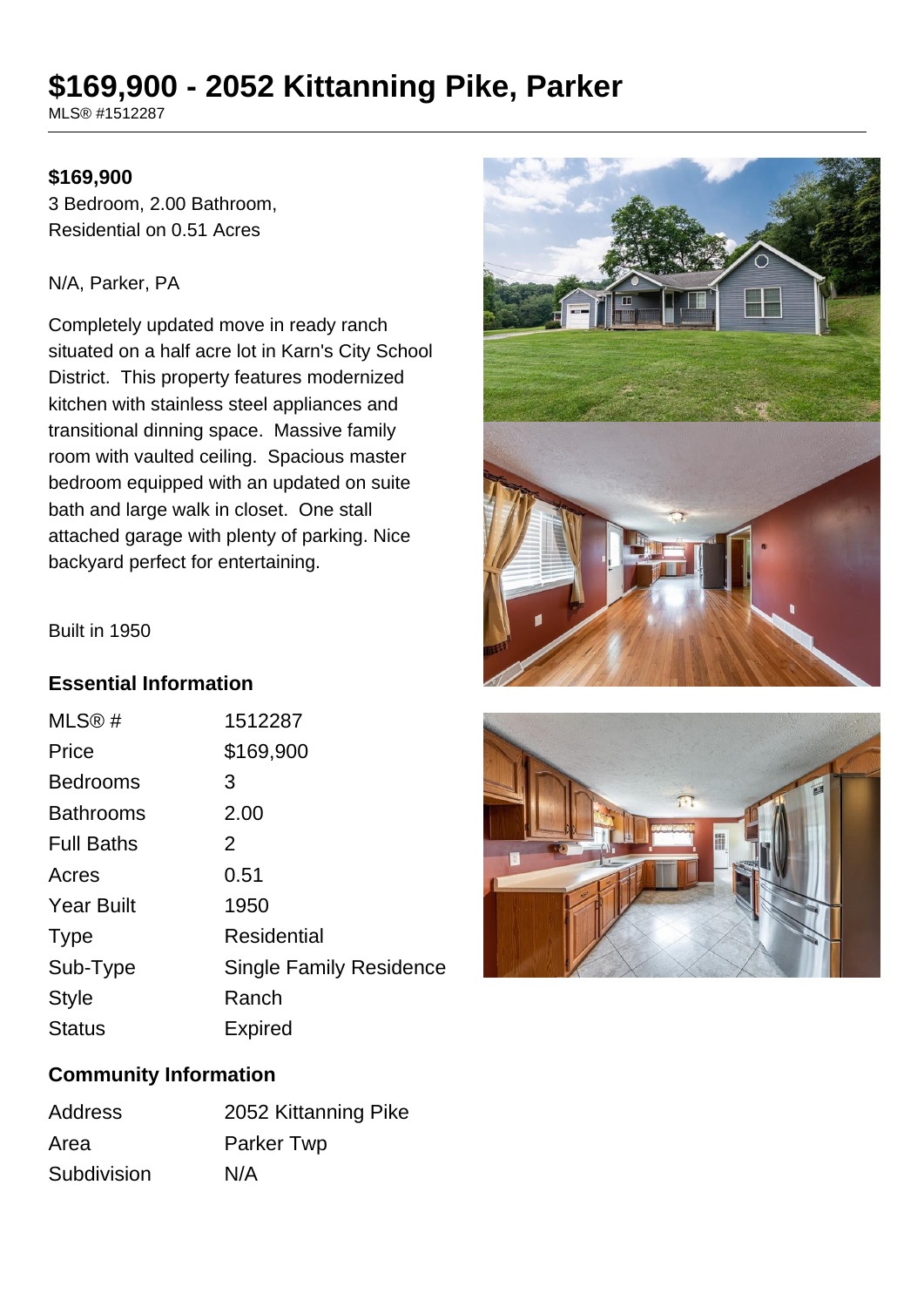# **\$169,900 - 2052 Kittanning Pike, Parker**

MLS® #1512287

#### **\$169,900**

3 Bedroom, 2.00 Bathroom, Residential on 0.51 Acres

#### N/A, Parker, PA

Completely updated move in ready ranch situated on a half acre lot in Karn's City School District. This property features modernized kitchen with stainless steel appliances and transitional dinning space. Massive family room with vaulted ceiling. Spacious master bedroom equipped with an updated on suite bath and large walk in closet. One stall attached garage with plenty of parking. Nice backyard perfect for entertaining.



Built in 1950

### **Essential Information**

| MLS@#             | 1512287                        |
|-------------------|--------------------------------|
| Price             | \$169,900                      |
| <b>Bedrooms</b>   | 3                              |
| <b>Bathrooms</b>  | 2.00                           |
| <b>Full Baths</b> | 2                              |
| Acres             | 0.51                           |
| <b>Year Built</b> | 1950                           |
| <b>Type</b>       | <b>Residential</b>             |
| Sub-Type          | <b>Single Family Residence</b> |
| <b>Style</b>      | Ranch                          |
| <b>Status</b>     | <b>Expired</b>                 |



#### **Community Information**

| <b>Address</b> | 2052 Kittanning Pike |
|----------------|----------------------|
| Area           | Parker Twp           |
| Subdivision    | N/A                  |